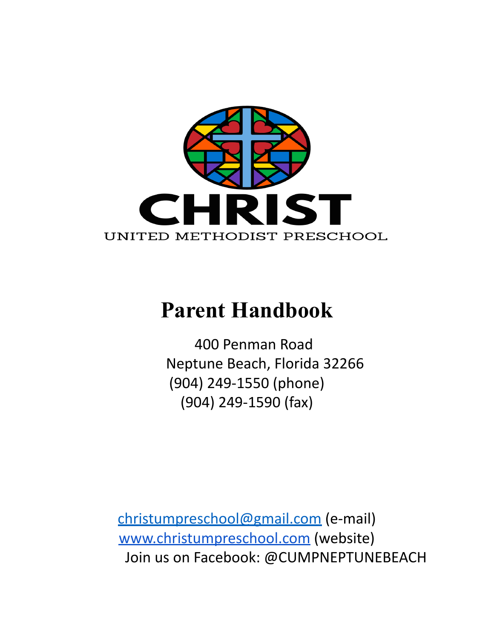

# **Parent Handbook**

400 Penman Road Neptune Beach, Florida 32266 (904) 249-1550 (phone) (904) 249-1590 (fax)

[christumpreschool@gmail.com](mailto:christumpreschool@gmail.com) (e-mail) [www.christumpreschool.com](http://www.christumpreschool.com) (website) Join us on Facebook: @CUMPNEPTUNEBEACH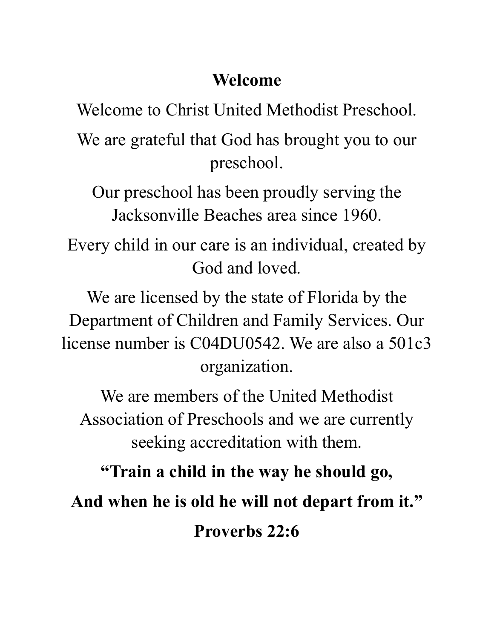## **Welcome**

Welcome to Christ United Methodist Preschool.

We are grateful that God has brought you to our preschool.

Our preschool has been proudly serving the Jacksonville Beaches area since 1960.

Every child in our care is an individual, created by God and loved.

We are licensed by the state of Florida by the Department of Children and Family Services. Our license number is C04DU0542. We are also a 501c3 organization.

We are members of the United Methodist Association of Preschools and we are currently seeking accreditation with them.

**"Train a child in the way he should go, And when he is old he will not depart from it." Proverbs 22:6**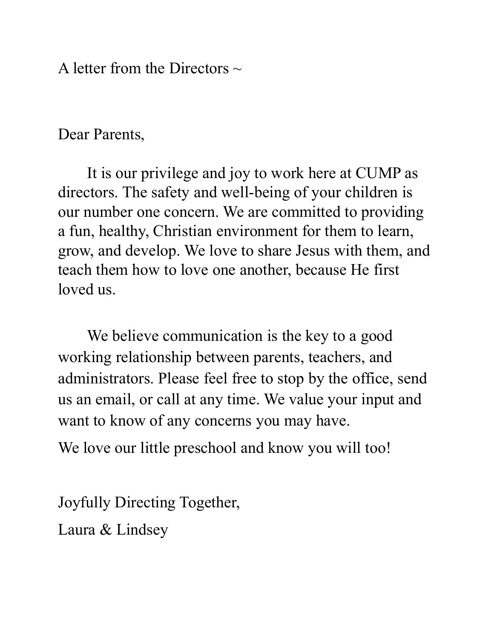A letter from the Directors  $\sim$ 

Dear Parents,

It is our privilege and joy to work here at CUMP as directors. The safety and well-being of your children is our number one concern. We are committed to providing a fun, healthy, Christian environment for them to learn, grow, and develop. We love to share Jesus with them, and teach them how to love one another, because He first loved us.

We believe communication is the key to a good working relationship between parents, teachers, and administrators. Please feel free to stop by the office, send us an email, or call at any time. We value your input and want to know of any concerns you may have.

We love our little preschool and know you will too!

Joyfully Directing Together, Laura & Lindsey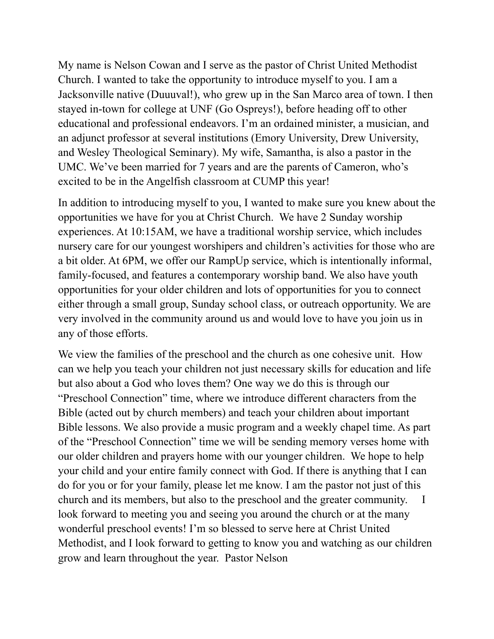My name is Nelson Cowan and I serve as the pastor of Christ United Methodist Church. I wanted to take the opportunity to introduce myself to you. I am a Jacksonville native (Duuuval!), who grew up in the San Marco area of town. I then stayed in-town for college at UNF (Go Ospreys!), before heading off to other educational and professional endeavors. I'm an ordained minister, a musician, and an adjunct professor at several institutions (Emory University, Drew University, and Wesley Theological Seminary). My wife, Samantha, is also a pastor in the UMC. We've been married for 7 years and are the parents of Cameron, who's excited to be in the Angelfish classroom at CUMP this year!

In addition to introducing myself to you, I wanted to make sure you knew about the opportunities we have for you at Christ Church. We have 2 Sunday worship experiences. At 10:15AM, we have a traditional worship service, which includes nursery care for our youngest worshipers and children's activities for those who are a bit older. At 6PM, we offer our RampUp service, which is intentionally informal, family-focused, and features a contemporary worship band. We also have youth opportunities for your older children and lots of opportunities for you to connect either through a small group, Sunday school class, or outreach opportunity. We are very involved in the community around us and would love to have you join us in any of those efforts.

We view the families of the preschool and the church as one cohesive unit. How can we help you teach your children not just necessary skills for education and life but also about a God who loves them? One way we do this is through our "Preschool Connection" time, where we introduce different characters from the Bible (acted out by church members) and teach your children about important Bible lessons. We also provide a music program and a weekly chapel time. As part of the "Preschool Connection" time we will be sending memory verses home with our older children and prayers home with our younger children. We hope to help your child and your entire family connect with God. If there is anything that I can do for you or for your family, please let me know. I am the pastor not just of this church and its members, but also to the preschool and the greater community. I look forward to meeting you and seeing you around the church or at the many wonderful preschool events! I'm so blessed to serve here at Christ United Methodist, and I look forward to getting to know you and watching as our children grow and learn throughout the year. Pastor Nelson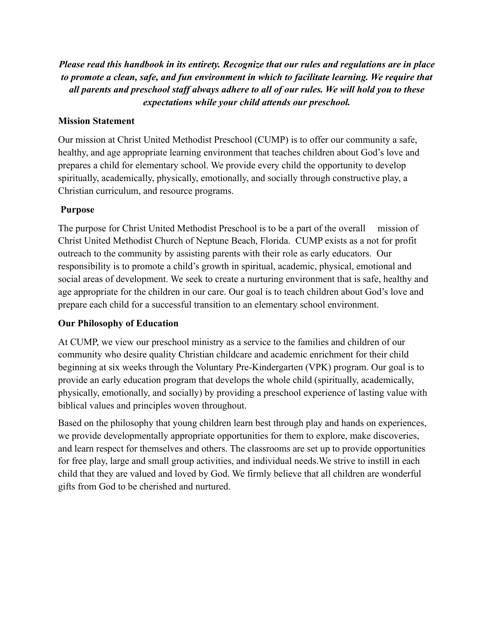*Please read this handbook in its entirety. Recognize that our rules and regulations are in place to promote a clean, safe, and fun environment in which to facilitate learning. We require that all parents and preschool staff always adhere to all of our rules. We will hold you to these expectations while your child attends our preschool.*

#### **Mission Statement**

Our mission at Christ United Methodist Preschool (CUMP) is to offer our community a safe, healthy, and age appropriate learning environment that teaches children about God's love and prepares a child for elementary school. We provide every child the opportunity to develop spiritually, academically, physically, emotionally, and socially through constructive play, a Christian curriculum, and resource programs.

### **Purpose**

The purpose for Christ United Methodist Preschool is to be a part of the overall mission of Christ United Methodist Church of Neptune Beach, Florida. CUMP exists as a not for profit outreach to the community by assisting parents with their role as early educators. Our responsibility is to promote a child's growth in spiritual, academic, physical, emotional and social areas of development. We seek to create a nurturing environment that is safe, healthy and age appropriate for the children in our care. Our goal is to teach children about God's love and prepare each child for a successful transition to an elementary school environment.

#### **Our Philosophy of Education**

At CUMP, we view our preschool ministry as a service to the families and children of our community who desire quality Christian childcare and academic enrichment for their child beginning at six weeks through the Voluntary Pre-Kindergarten (VPK) program. Our goal is to provide an early education program that develops the whole child (spiritually, academically, physically, emotionally, and socially) by providing a preschool experience of lasting value with biblical values and principles woven throughout.

Based on the philosophy that young children learn best through play and hands on experiences, we provide developmentally appropriate opportunities for them to explore, make discoveries, and learn respect for themselves and others. The classrooms are set up to provide opportunities for free play, large and small group activities, and individual needs.We strive to instill in each child that they are valued and loved by God. We firmly believe that all children are wonderful gifts from God to be cherished and nurtured.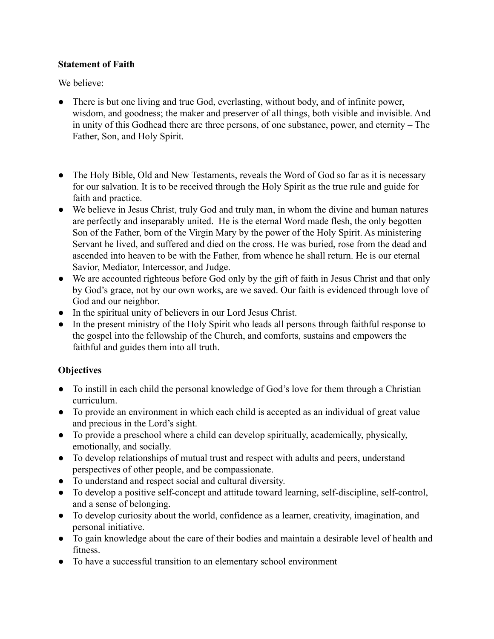#### **Statement of Faith**

We believe:

- There is but one living and true God, everlasting, without body, and of infinite power, wisdom, and goodness; the maker and preserver of all things, both visible and invisible. And in unity of this Godhead there are three persons, of one substance, power, and eternity – The Father, Son, and Holy Spirit.
- The Holy Bible, Old and New Testaments, reveals the Word of God so far as it is necessary for our salvation. It is to be received through the Holy Spirit as the true rule and guide for faith and practice.
- We believe in Jesus Christ, truly God and truly man, in whom the divine and human natures are perfectly and inseparably united. He is the eternal Word made flesh, the only begotten Son of the Father, born of the Virgin Mary by the power of the Holy Spirit. As ministering Servant he lived, and suffered and died on the cross. He was buried, rose from the dead and ascended into heaven to be with the Father, from whence he shall return. He is our eternal Savior, Mediator, Intercessor, and Judge.
- We are accounted righteous before God only by the gift of faith in Jesus Christ and that only by God's grace, not by our own works, are we saved. Our faith is evidenced through love of God and our neighbor.
- In the spiritual unity of believers in our Lord Jesus Christ.
- In the present ministry of the Holy Spirit who leads all persons through faithful response to the gospel into the fellowship of the Church, and comforts, sustains and empowers the faithful and guides them into all truth.

### **Objectives**

- To instill in each child the personal knowledge of God's love for them through a Christian curriculum.
- To provide an environment in which each child is accepted as an individual of great value and precious in the Lord's sight.
- To provide a preschool where a child can develop spiritually, academically, physically, emotionally, and socially.
- To develop relationships of mutual trust and respect with adults and peers, understand perspectives of other people, and be compassionate.
- To understand and respect social and cultural diversity.
- To develop a positive self-concept and attitude toward learning, self-discipline, self-control, and a sense of belonging.
- To develop curiosity about the world, confidence as a learner, creativity, imagination, and personal initiative.
- To gain knowledge about the care of their bodies and maintain a desirable level of health and fitness.
- To have a successful transition to an elementary school environment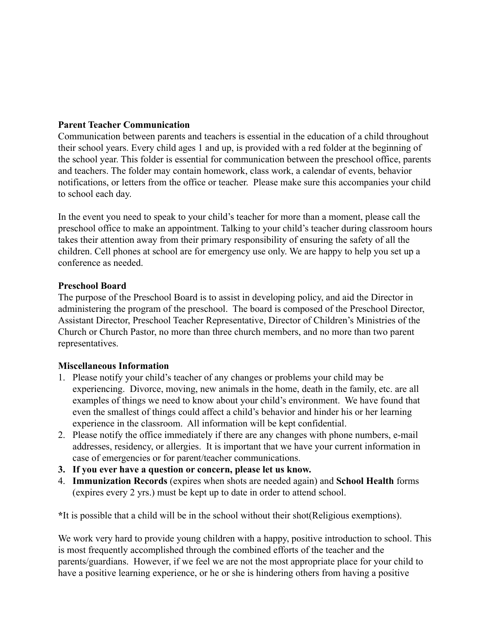#### **Parent Teacher Communication**

Communication between parents and teachers is essential in the education of a child throughout their school years. Every child ages 1 and up, is provided with a red folder at the beginning of the school year. This folder is essential for communication between the preschool office, parents and teachers. The folder may contain homework, class work, a calendar of events, behavior notifications, or letters from the office or teacher. Please make sure this accompanies your child to school each day.

In the event you need to speak to your child's teacher for more than a moment, please call the preschool office to make an appointment. Talking to your child's teacher during classroom hours takes their attention away from their primary responsibility of ensuring the safety of all the children. Cell phones at school are for emergency use only. We are happy to help you set up a conference as needed.

#### **Preschool Board**

The purpose of the Preschool Board is to assist in developing policy, and aid the Director in administering the program of the preschool. The board is composed of the Preschool Director, Assistant Director, Preschool Teacher Representative, Director of Children's Ministries of the Church or Church Pastor, no more than three church members, and no more than two parent representatives.

#### **Miscellaneous Information**

- 1. Please notify your child's teacher of any changes or problems your child may be experiencing. Divorce, moving, new animals in the home, death in the family, etc. are all examples of things we need to know about your child's environment. We have found that even the smallest of things could affect a child's behavior and hinder his or her learning experience in the classroom. All information will be kept confidential.
- 2. Please notify the office immediately if there are any changes with phone numbers, e-mail addresses, residency, or allergies. It is important that we have your current information in case of emergencies or for parent/teacher communications.
- **3. If you ever have a question or concern, please let us know.**
- 4. **Immunization Records** (expires when shots are needed again) and **School Health** forms (expires every 2 yrs.) must be kept up to date in order to attend school.

**\***It is possible that a child will be in the school without their shot(Religious exemptions).

We work very hard to provide young children with a happy, positive introduction to school. This is most frequently accomplished through the combined efforts of the teacher and the parents/guardians. However, if we feel we are not the most appropriate place for your child to have a positive learning experience, or he or she is hindering others from having a positive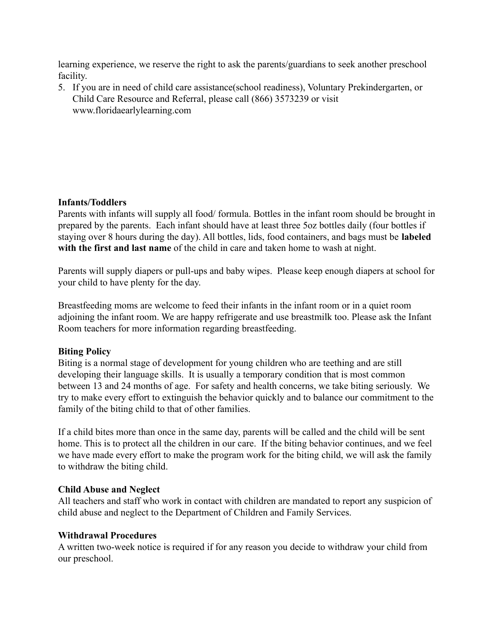learning experience, we reserve the right to ask the parents/guardians to seek another preschool facility.

5. If you are in need of child care assistance(school readiness), Voluntary Prekindergarten, or Child Care Resource and Referral, please call (866) 3573239 or visit www.floridaearlylearning.com

#### **Infants/Toddlers**

Parents with infants will supply all food/ formula. Bottles in the infant room should be brought in prepared by the parents. Each infant should have at least three 5oz bottles daily (four bottles if staying over 8 hours during the day). All bottles, lids, food containers, and bags must be **labeled with the first and last name** of the child in care and taken home to wash at night.

Parents will supply diapers or pull-ups and baby wipes. Please keep enough diapers at school for your child to have plenty for the day.

Breastfeeding moms are welcome to feed their infants in the infant room or in a quiet room adjoining the infant room. We are happy refrigerate and use breastmilk too. Please ask the Infant Room teachers for more information regarding breastfeeding.

#### **Biting Policy**

Biting is a normal stage of development for young children who are teething and are still developing their language skills. It is usually a temporary condition that is most common between 13 and 24 months of age. For safety and health concerns, we take biting seriously. We try to make every effort to extinguish the behavior quickly and to balance our commitment to the family of the biting child to that of other families.

If a child bites more than once in the same day, parents will be called and the child will be sent home. This is to protect all the children in our care. If the biting behavior continues, and we feel we have made every effort to make the program work for the biting child, we will ask the family to withdraw the biting child.

#### **Child Abuse and Neglect**

All teachers and staff who work in contact with children are mandated to report any suspicion of child abuse and neglect to the Department of Children and Family Services.

#### **Withdrawal Procedures**

A written two-week notice is required if for any reason you decide to withdraw your child from our preschool.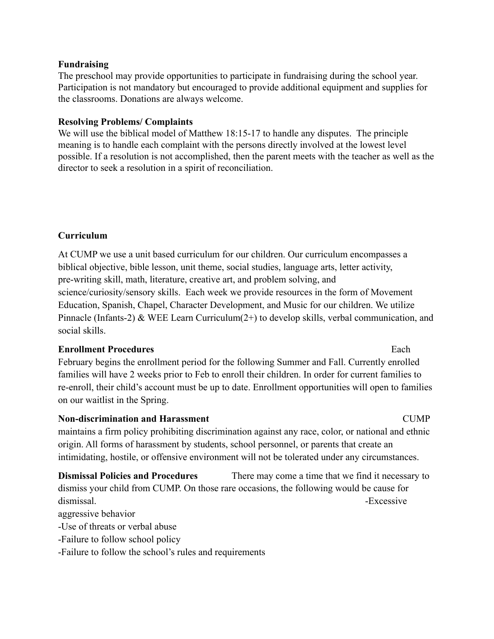#### **Fundraising**

The preschool may provide opportunities to participate in fundraising during the school year. Participation is not mandatory but encouraged to provide additional equipment and supplies for the classrooms. Donations are always welcome.

#### **Resolving Problems/ Complaints**

We will use the biblical model of Matthew 18:15-17 to handle any disputes. The principle meaning is to handle each complaint with the persons directly involved at the lowest level possible. If a resolution is not accomplished, then the parent meets with the teacher as well as the director to seek a resolution in a spirit of reconciliation.

#### **Curriculum**

At CUMP we use a unit based curriculum for our children. Our curriculum encompasses a biblical objective, bible lesson, unit theme, social studies, language arts, letter activity, pre-writing skill, math, literature, creative art, and problem solving, and science/curiosity/sensory skills. Each week we provide resources in the form of Movement Education, Spanish, Chapel, Character Development, and Music for our children. We utilize Pinnacle (Infants-2) & WEE Learn Curriculum(2+) to develop skills, verbal communication, and social skills.

#### **Enrollment Procedures** Each

February begins the enrollment period for the following Summer and Fall. Currently enrolled families will have 2 weeks prior to Feb to enroll their children. In order for current families to re-enroll, their child's account must be up to date. Enrollment opportunities will open to families on our waitlist in the Spring.

#### **Non-discrimination and Harassment** CUMP

maintains a firm policy prohibiting discrimination against any race, color, or national and ethnic origin. All forms of harassment by students, school personnel, or parents that create an intimidating, hostile, or offensive environment will not be tolerated under any circumstances.

**Dismissal Policies and Procedures** There may come a time that we find it necessary to dismiss your child from CUMP. On those rare occasions, the following would be cause for dismissal. **Excessive** 

aggressive behavior

-Use of threats or verbal abuse

-Failure to follow school policy

-Failure to follow the school's rules and requirements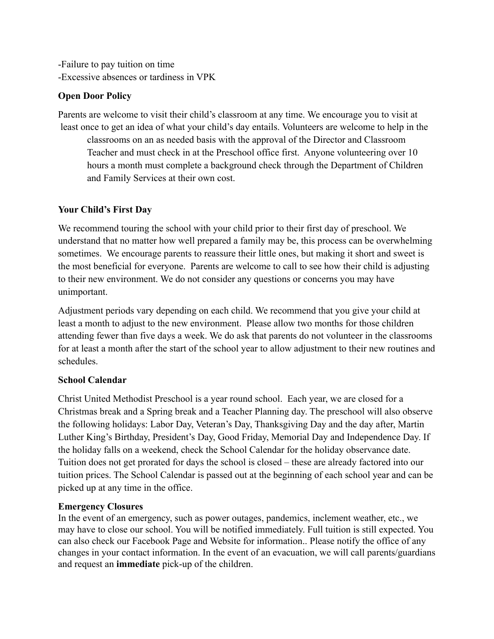-Failure to pay tuition on time -Excessive absences or tardiness in VPK

#### **Open Door Policy**

Parents are welcome to visit their child's classroom at any time. We encourage you to visit at least once to get an idea of what your child's day entails. Volunteers are welcome to help in the classrooms on an as needed basis with the approval of the Director and Classroom Teacher and must check in at the Preschool office first. Anyone volunteering over 10 hours a month must complete a background check through the Department of Children and Family Services at their own cost.

### **Your Child's First Day**

We recommend touring the school with your child prior to their first day of preschool. We understand that no matter how well prepared a family may be, this process can be overwhelming sometimes. We encourage parents to reassure their little ones, but making it short and sweet is the most beneficial for everyone. Parents are welcome to call to see how their child is adjusting to their new environment. We do not consider any questions or concerns you may have unimportant.

Adjustment periods vary depending on each child. We recommend that you give your child at least a month to adjust to the new environment. Please allow two months for those children attending fewer than five days a week. We do ask that parents do not volunteer in the classrooms for at least a month after the start of the school year to allow adjustment to their new routines and schedules.

#### **School Calendar**

Christ United Methodist Preschool is a year round school. Each year, we are closed for a Christmas break and a Spring break and a Teacher Planning day. The preschool will also observe the following holidays: Labor Day, Veteran's Day, Thanksgiving Day and the day after, Martin Luther King's Birthday, President's Day, Good Friday, Memorial Day and Independence Day. If the holiday falls on a weekend, check the School Calendar for the holiday observance date. Tuition does not get prorated for days the school is closed – these are already factored into our tuition prices. The School Calendar is passed out at the beginning of each school year and can be picked up at any time in the office.

### **Emergency Closures**

In the event of an emergency, such as power outages, pandemics, inclement weather, etc., we may have to close our school. You will be notified immediately. Full tuition is still expected. You can also check our Facebook Page and Website for information.. Please notify the office of any changes in your contact information. In the event of an evacuation, we will call parents/guardians and request an **immediate** pick-up of the children.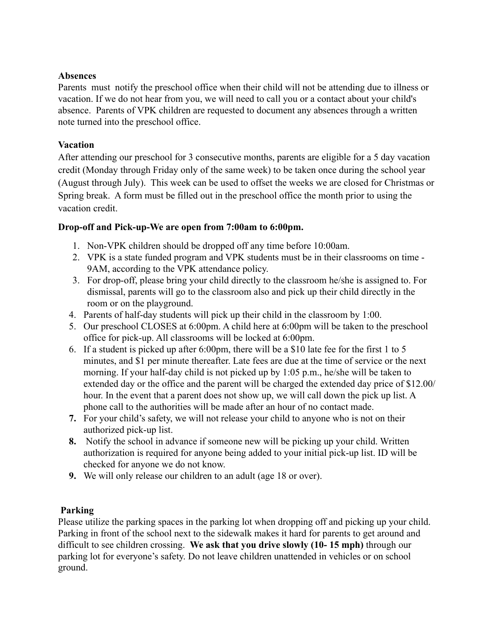#### **Absences**

Parents must notify the preschool office when their child will not be attending due to illness or vacation. If we do not hear from you, we will need to call you or a contact about your child's absence. Parents of VPK children are requested to document any absences through a written note turned into the preschool office.

### **Vacation**

After attending our preschool for 3 consecutive months, parents are eligible for a 5 day vacation credit (Monday through Friday only of the same week) to be taken once during the school year (August through July). This week can be used to offset the weeks we are closed for Christmas or Spring break. A form must be filled out in the preschool office the month prior to using the vacation credit.

#### **Drop-off and Pick-up-We are open from 7:00am to 6:00pm.**

- 1. Non-VPK children should be dropped off any time before 10:00am.
- 2. VPK is a state funded program and VPK students must be in their classrooms on time 9AM, according to the VPK attendance policy.
- 3. For drop-off, please bring your child directly to the classroom he/she is assigned to. For dismissal, parents will go to the classroom also and pick up their child directly in the room or on the playground.
- 4. Parents of half-day students will pick up their child in the classroom by 1:00.
- 5. Our preschool CLOSES at 6:00pm. A child here at 6:00pm will be taken to the preschool office for pick-up. All classrooms will be locked at 6:00pm.
- 6. If a student is picked up after 6:00pm, there will be a \$10 late fee for the first 1 to 5 minutes, and \$1 per minute thereafter. Late fees are due at the time of service or the next morning. If your half-day child is not picked up by 1:05 p.m., he/she will be taken to extended day or the office and the parent will be charged the extended day price of \$12.00/ hour. In the event that a parent does not show up, we will call down the pick up list. A phone call to the authorities will be made after an hour of no contact made.
- **7.** For your child's safety, we will not release your child to anyone who is not on their authorized pick-up list.
- **8.** Notify the school in advance if someone new will be picking up your child. Written authorization is required for anyone being added to your initial pick-up list. ID will be checked for anyone we do not know.
- **9.** We will only release our children to an adult (age 18 or over).

#### **Parking**

Please utilize the parking spaces in the parking lot when dropping off and picking up your child. Parking in front of the school next to the sidewalk makes it hard for parents to get around and difficult to see children crossing. **We ask that you drive slowly (10- 15 mph)** through our parking lot for everyone's safety. Do not leave children unattended in vehicles or on school ground.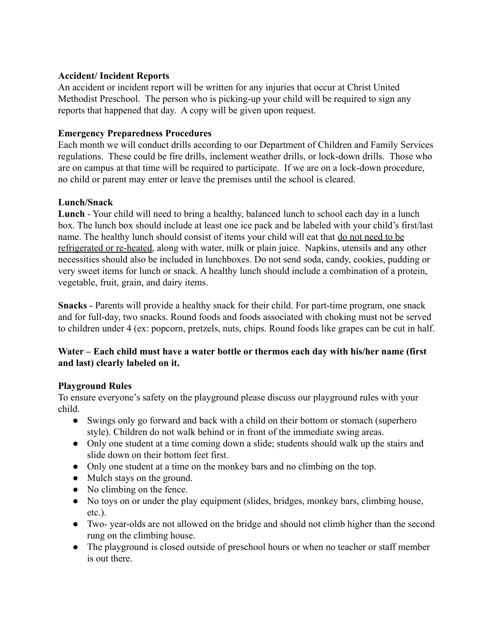#### **Accident/ Incident Reports**

An accident or incident report will be written for any injuries that occur at Christ United Methodist Preschool. The person who is picking-up your child will be required to sign any reports that happened that day. A copy will be given upon request.

#### **Emergency Preparedness Procedures**

Each month we will conduct drills according to our Department of Children and Family Services regulations. These could be fire drills, inclement weather drills, or lock-down drills. Those who are on campus at that time will be required to participate. If we are on a lock-down procedure, no child or parent may enter or leave the premises until the school is cleared.

#### **Lunch/Snack**

**Lunch** - Your child will need to bring a healthy, balanced lunch to school each day in a lunch box. The lunch box should include at least one ice pack and be labeled with your child's first/last name. The healthy lunch should consist of items your child will eat that do not need to be refrigerated or re-heated, along with water, milk or plain juice. Napkins, utensils and any other necessities should also be included in lunchboxes. Do not send soda, candy, cookies, pudding or very sweet items for lunch or snack. A healthy lunch should include a combination of a protein, vegetable, fruit, grain, and dairy items.

**Snacks** - Parents will provide a healthy snack for their child. For part-time program, one snack and for full-day, two snacks. Round foods and foods associated with choking must not be served to children under 4 (ex: popcorn, pretzels, nuts, chips. Round foods like grapes can be cut in half.

#### **Water – Each child must have a water bottle or thermos each day with his/her name (first and last) clearly labeled on it.**

#### **Playground Rules**

To ensure everyone's safety on the playground please discuss our playground rules with your child.

- Swings only go forward and back with a child on their bottom or stomach (superhero style). Children do not walk behind or in front of the immediate swing areas.
- Only one student at a time coming down a slide; students should walk up the stairs and slide down on their bottom feet first.
- Only one student at a time on the monkey bars and no climbing on the top.
- Mulch stays on the ground.
- No climbing on the fence.
- No toys on or under the play equipment (slides, bridges, monkey bars, climbing house, etc.).
- Two- year-olds are not allowed on the bridge and should not climb higher than the second rung on the climbing house.
- The playground is closed outside of preschool hours or when no teacher or staff member is out there.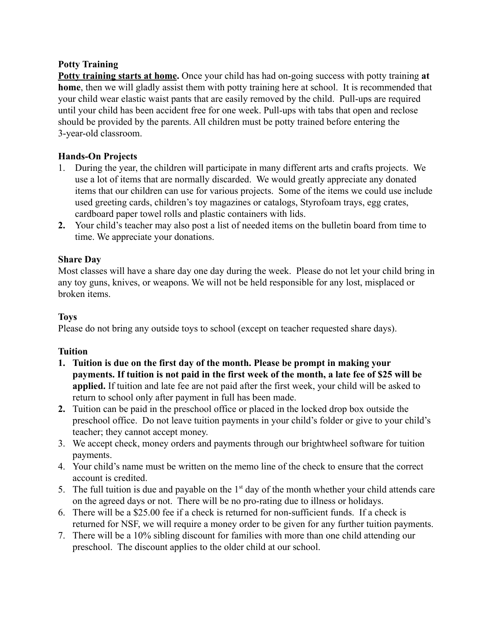#### **Potty Training**

**Potty training starts at home.** Once your child has had on-going success with potty training **at home**, then we will gladly assist them with potty training here at school. It is recommended that your child wear elastic waist pants that are easily removed by the child. Pull-ups are required until your child has been accident free for one week. Pull-ups with tabs that open and reclose should be provided by the parents. All children must be potty trained before entering the 3-year-old classroom.

### **Hands-On Projects**

- 1. During the year, the children will participate in many different arts and crafts projects. We use a lot of items that are normally discarded. We would greatly appreciate any donated items that our children can use for various projects. Some of the items we could use include used greeting cards, children's toy magazines or catalogs, Styrofoam trays, egg crates, cardboard paper towel rolls and plastic containers with lids.
- **2.** Your child's teacher may also post a list of needed items on the bulletin board from time to time. We appreciate your donations.

#### **Share Day**

Most classes will have a share day one day during the week. Please do not let your child bring in any toy guns, knives, or weapons. We will not be held responsible for any lost, misplaced or broken items.

#### **Toys**

Please do not bring any outside toys to school (except on teacher requested share days).

#### **Tuition**

- **1. Tuition is due on the first day of the month. Please be prompt in making your payments. If tuition is not paid in the first week of the month, a late fee of \$25 will be applied.** If tuition and late fee are not paid after the first week, your child will be asked to return to school only after payment in full has been made.
- **2.** Tuition can be paid in the preschool office or placed in the locked drop box outside the preschool office. Do not leave tuition payments in your child's folder or give to your child's teacher; they cannot accept money.
- 3. We accept check, money orders and payments through our brightwheel software for tuition payments.
- 4. Your child's name must be written on the memo line of the check to ensure that the correct account is credited.
- 5. The full tuition is due and payable on the  $1<sup>st</sup>$  day of the month whether your child attends care on the agreed days or not. There will be no pro-rating due to illness or holidays.
- 6. There will be a \$25.00 fee if a check is returned for non-sufficient funds. If a check is returned for NSF, we will require a money order to be given for any further tuition payments.
- 7. There will be a 10% sibling discount for families with more than one child attending our preschool. The discount applies to the older child at our school.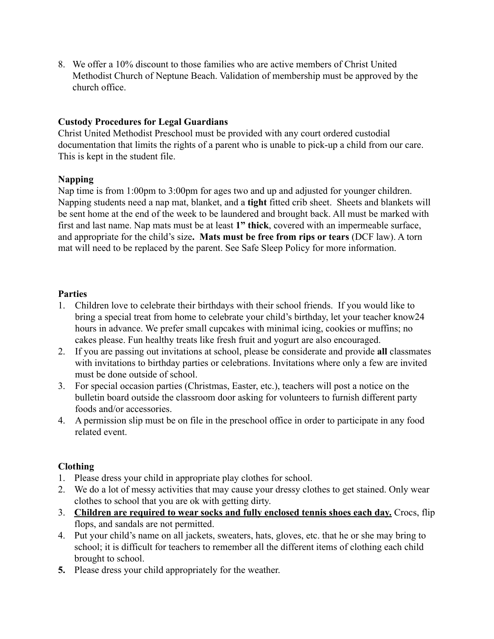8. We offer a 10% discount to those families who are active members of Christ United Methodist Church of Neptune Beach. Validation of membership must be approved by the church office.

#### **Custody Procedures for Legal Guardians**

Christ United Methodist Preschool must be provided with any court ordered custodial documentation that limits the rights of a parent who is unable to pick-up a child from our care. This is kept in the student file.

#### **Napping**

Nap time is from 1:00pm to 3:00pm for ages two and up and adjusted for younger children. Napping students need a nap mat, blanket, and a **tight** fitted crib sheet. Sheets and blankets will be sent home at the end of the week to be laundered and brought back. All must be marked with first and last name. Nap mats must be at least **1" thick**, covered with an impermeable surface, and appropriate for the child's size**. Mats must be free from rips or tears** (DCF law). A torn mat will need to be replaced by the parent. See Safe Sleep Policy for more information.

#### **Parties**

- 1. Children love to celebrate their birthdays with their school friends. If you would like to bring a special treat from home to celebrate your child's birthday, let your teacher know24 hours in advance. We prefer small cupcakes with minimal icing, cookies or muffins; no cakes please. Fun healthy treats like fresh fruit and yogurt are also encouraged.
- 2. If you are passing out invitations at school, please be considerate and provide **all** classmates with invitations to birthday parties or celebrations. Invitations where only a few are invited must be done outside of school.
- 3. For special occasion parties (Christmas, Easter, etc.), teachers will post a notice on the bulletin board outside the classroom door asking for volunteers to furnish different party foods and/or accessories.
- 4. A permission slip must be on file in the preschool office in order to participate in any food related event.

#### **Clothing**

- 1. Please dress your child in appropriate play clothes for school.
- 2. We do a lot of messy activities that may cause your dressy clothes to get stained. Only wear clothes to school that you are ok with getting dirty.
- 3. **Children are required to wear socks and fully enclosed tennis shoes each day.** Crocs, flip flops, and sandals are not permitted.
- 4. Put your child's name on all jackets, sweaters, hats, gloves, etc. that he or she may bring to school; it is difficult for teachers to remember all the different items of clothing each child brought to school.
- **5.** Please dress your child appropriately for the weather.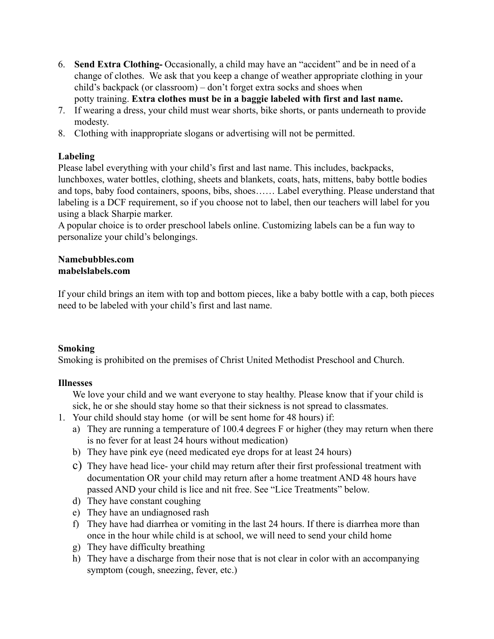- 6. **Send Extra Clothing-** Occasionally, a child may have an "accident" and be in need of a change of clothes. We ask that you keep a change of weather appropriate clothing in your child's backpack (or classroom) – don't forget extra socks and shoes when potty training. **Extra clothes must be in a baggie labeled with first and last name.**
- 7. If wearing a dress, your child must wear shorts, bike shorts, or pants underneath to provide modesty.
- 8. Clothing with inappropriate slogans or advertising will not be permitted.

#### **Labeling**

Please label everything with your child's first and last name. This includes, backpacks, lunchboxes, water bottles, clothing, sheets and blankets, coats, hats, mittens, baby bottle bodies and tops, baby food containers, spoons, bibs, shoes…… Label everything. Please understand that labeling is a DCF requirement, so if you choose not to label, then our teachers will label for you using a black Sharpie marker.

A popular choice is to order preschool labels online. Customizing labels can be a fun way to personalize your child's belongings.

## **Namebubbles.com**

#### **mabelslabels.com**

If your child brings an item with top and bottom pieces, like a baby bottle with a cap, both pieces need to be labeled with your child's first and last name.

### **Smoking**

Smoking is prohibited on the premises of Christ United Methodist Preschool and Church.

### **Illnesses**

We love your child and we want everyone to stay healthy. Please know that if your child is sick, he or she should stay home so that their sickness is not spread to classmates.

- 1. Your child should stay home (or will be sent home for 48 hours) if:
	- a) They are running a temperature of 100.4 degrees F or higher (they may return when there is no fever for at least 24 hours without medication)
	- b) They have pink eye (need medicated eye drops for at least 24 hours)
	- c) They have head lice- your child may return after their first professional treatment with documentation OR your child may return after a home treatment AND 48 hours have passed AND your child is lice and nit free. See "Lice Treatments" below.
	- d) They have constant coughing
	- e) They have an undiagnosed rash
	- f) They have had diarrhea or vomiting in the last 24 hours. If there is diarrhea more than once in the hour while child is at school, we will need to send your child home
	- g) They have difficulty breathing
	- h) They have a discharge from their nose that is not clear in color with an accompanying symptom (cough, sneezing, fever, etc.)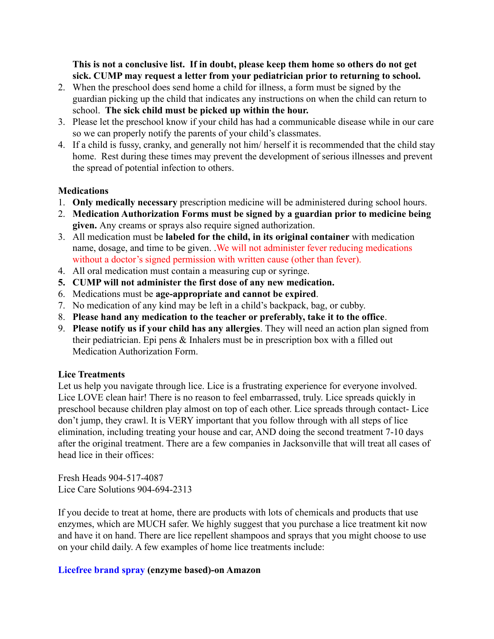#### **This is not a conclusive list. If in doubt, please keep them home so others do not get sick. CUMP may request a letter from your pediatrician prior to returning to school.**

- 2. When the preschool does send home a child for illness, a form must be signed by the guardian picking up the child that indicates any instructions on when the child can return to school. **The sick child must be picked up within the hour.**
- 3. Please let the preschool know if your child has had a communicable disease while in our care so we can properly notify the parents of your child's classmates.
- 4. If a child is fussy, cranky, and generally not him/ herself it is recommended that the child stay home. Rest during these times may prevent the development of serious illnesses and prevent the spread of potential infection to others.

#### **Medications**

- 1. **Only medically necessary** prescription medicine will be administered during school hours.
- 2. **Medication Authorization Forms must be signed by a guardian prior to medicine being given.** Any creams or sprays also require signed authorization.
- 3. All medication must be **labeled for the child, in its original container** with medication name, dosage, and time to be given. .We will not administer fever reducing medications without a doctor's signed permission with written cause (other than fever).
- 4. All oral medication must contain a measuring cup or syringe.
- **5. CUMP will not administer the first dose of any new medication.**
- 6. Medications must be **age-appropriate and cannot be expired**.
- 7. No medication of any kind may be left in a child's backpack, bag, or cubby.
- 8. **Please hand any medication to the teacher or preferably, take it to the office**.
- 9. **Please notify us if your child has any allergies**. They will need an action plan signed from their pediatrician. Epi pens & Inhalers must be in prescription box with a filled out Medication Authorization Form.

#### **Lice Treatments**

Let us help you navigate through lice. Lice is a frustrating experience for everyone involved. Lice LOVE clean hair! There is no reason to feel embarrassed, truly. Lice spreads quickly in preschool because children play almost on top of each other. Lice spreads through contact- Lice don't jump, they crawl. It is VERY important that you follow through with all steps of lice elimination, including treating your house and car, AND doing the second treatment 7-10 days after the original treatment. There are a few companies in Jacksonville that will treat all cases of head lice in their offices:

Fresh Heads 904-517-4087 Lice Care Solutions 904-694-2313

If you decide to treat at home, there are products with lots of chemicals and products that use enzymes, which are MUCH safer. We highly suggest that you purchase a lice treatment kit now and have it on hand. There are lice repellent shampoos and sprays that you might choose to use on your child daily. A few examples of home lice treatments include:

#### **Licefree brand spray (enzyme based)-on Amazon**